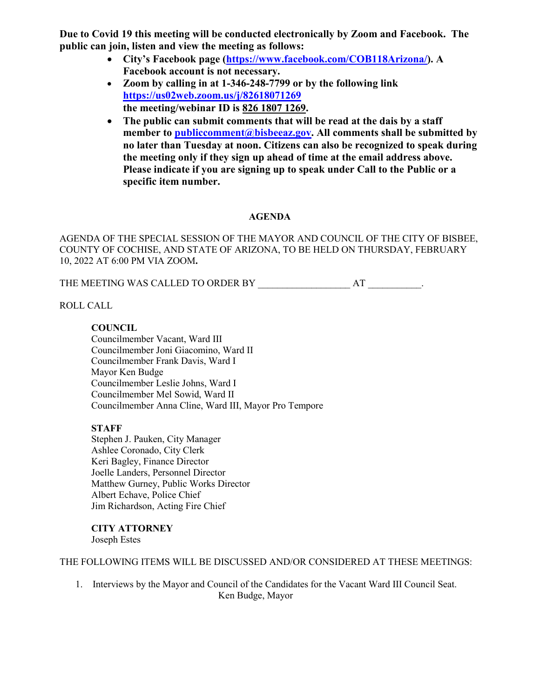**Due to Covid 19 this meeting will be conducted electronically by Zoom and Facebook. The public can join, listen and view the meeting as follows:**

- **City's Facebook page [\(https://www.facebook.com/COB118Arizona/\)](https://www.facebook.com/COB118Arizona/). A Facebook account is not necessary.**
- **Zoom by calling in at 1-346-248-7799 or by the following link <https://us02web.zoom.us/j/82618071269> the meeting/webinar ID is 826 1807 1269.**
- **The public can submit comments that will be read at the dais by a staff member to [publiccomment@bisbeeaz.gov.](mailto:publiccomment@bisbeeaz.gov) All comments shall be submitted by no later than Tuesday at noon. Citizens can also be recognized to speak during the meeting only if they sign up ahead of time at the email address above. Please indicate if you are signing up to speak under Call to the Public or a specific item number.**

# **AGENDA**

AGENDA OF THE SPECIAL SESSION OF THE MAYOR AND COUNCIL OF THE CITY OF BISBEE, COUNTY OF COCHISE, AND STATE OF ARIZONA, TO BE HELD ON THURSDAY, FEBRUARY 10, 2022 AT 6:00 PM VIA ZOOM**.**

THE MEETING WAS CALLED TO ORDER BY THE MEETING WAS CALLED TO ORDER BY

ROLL CALL

### **COUNCIL**

Councilmember Vacant, Ward III Councilmember Joni Giacomino, Ward II Councilmember Frank Davis, Ward I Mayor Ken Budge Councilmember Leslie Johns, Ward I Councilmember Mel Sowid, Ward II Councilmember Anna Cline, Ward III, Mayor Pro Tempore

# **STAFF**

Stephen J. Pauken, City Manager Ashlee Coronado, City Clerk Keri Bagley, Finance Director Joelle Landers, Personnel Director Matthew Gurney, Public Works Director Albert Echave, Police Chief Jim Richardson, Acting Fire Chief

**CITY ATTORNEY** Joseph Estes

THE FOLLOWING ITEMS WILL BE DISCUSSED AND/OR CONSIDERED AT THESE MEETINGS:

1. Interviews by the Mayor and Council of the Candidates for the Vacant Ward III Council Seat. Ken Budge, Mayor